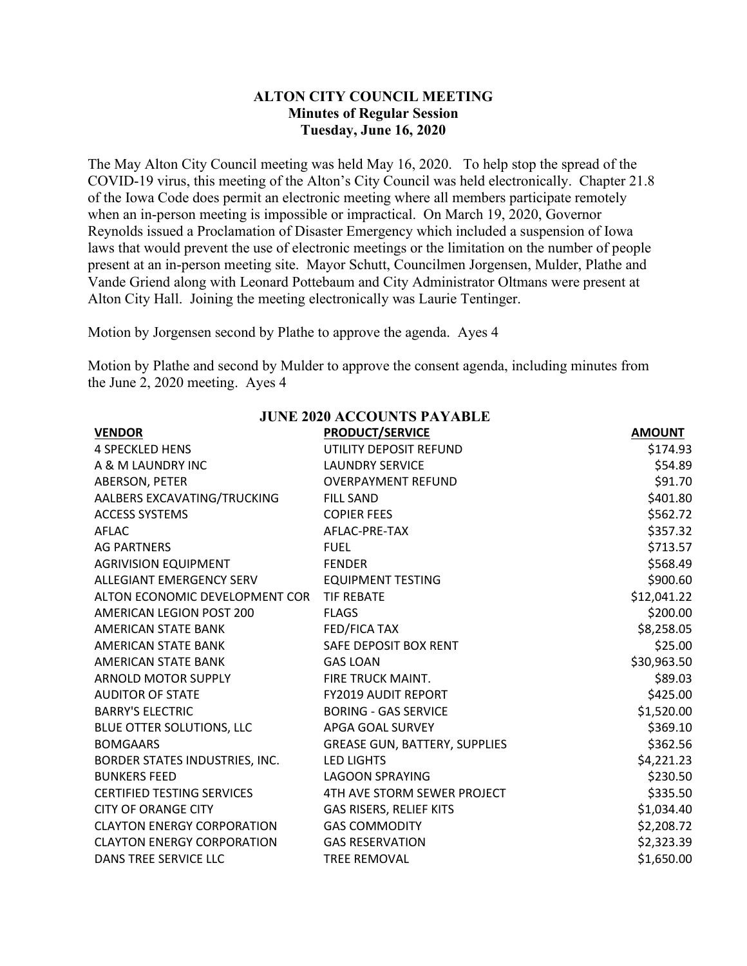## **ALTON CITY COUNCIL MEETING Minutes of Regular Session Tuesday, June 16, 2020**

The May Alton City Council meeting was held May 16, 2020. To help stop the spread of the COVID-19 virus, this meeting of the Alton's City Council was held electronically. Chapter 21.8 of the Iowa Code does permit an electronic meeting where all members participate remotely when an in-person meeting is impossible or impractical. On March 19, 2020, Governor Reynolds issued a Proclamation of Disaster Emergency which included a suspension of Iowa laws that would prevent the use of electronic meetings or the limitation on the number of people present at an in-person meeting site. Mayor Schutt, Councilmen Jorgensen, Mulder, Plathe and Vande Griend along with Leonard Pottebaum and City Administrator Oltmans were present at Alton City Hall. Joining the meeting electronically was Laurie Tentinger.

Motion by Jorgensen second by Plathe to approve the agenda. Ayes 4

Motion by Plathe and second by Mulder to approve the consent agenda, including minutes from the June 2, 2020 meeting. Ayes 4

| <b>JUNE 2020 ACCOUNTS PAYABLE</b>         |                                      |               |  |  |  |  |
|-------------------------------------------|--------------------------------------|---------------|--|--|--|--|
| <b>VENDOR</b>                             | <b>PRODUCT/SERVICE</b>               | <b>AMOUNT</b> |  |  |  |  |
| <b>4 SPECKLED HENS</b>                    | UTILITY DEPOSIT REFUND               | \$174.93      |  |  |  |  |
| A & M LAUNDRY INC                         | <b>LAUNDRY SERVICE</b>               | \$54.89       |  |  |  |  |
| ABERSON, PETER                            | <b>OVERPAYMENT REFUND</b>            | \$91.70       |  |  |  |  |
| AALBERS EXCAVATING/TRUCKING               | <b>FILL SAND</b>                     | \$401.80      |  |  |  |  |
| <b>ACCESS SYSTEMS</b>                     | <b>COPIER FEES</b>                   | \$562.72      |  |  |  |  |
| AFLAC                                     | AFLAC-PRE-TAX                        | \$357.32      |  |  |  |  |
| <b>AG PARTNERS</b>                        | <b>FUEL</b>                          | \$713.57      |  |  |  |  |
| <b>AGRIVISION EQUIPMENT</b>               | <b>FENDER</b>                        | \$568.49      |  |  |  |  |
| ALLEGIANT EMERGENCY SERV                  | <b>EQUIPMENT TESTING</b>             | \$900.60      |  |  |  |  |
| ALTON ECONOMIC DEVELOPMENT COR TIF REBATE |                                      | \$12,041.22   |  |  |  |  |
| AMERICAN LEGION POST 200                  | <b>FLAGS</b>                         | \$200.00      |  |  |  |  |
| AMERICAN STATE BANK                       | FED/FICA TAX                         | \$8,258.05    |  |  |  |  |
| AMERICAN STATE BANK                       | SAFE DEPOSIT BOX RENT                | \$25.00       |  |  |  |  |
| AMERICAN STATE BANK                       | <b>GAS LOAN</b>                      | \$30,963.50   |  |  |  |  |
| ARNOLD MOTOR SUPPLY                       | FIRE TRUCK MAINT.                    | \$89.03       |  |  |  |  |
| <b>AUDITOR OF STATE</b>                   | <b>FY2019 AUDIT REPORT</b>           | \$425.00      |  |  |  |  |
| <b>BARRY'S ELECTRIC</b>                   | <b>BORING - GAS SERVICE</b>          | \$1,520.00    |  |  |  |  |
| BLUE OTTER SOLUTIONS, LLC                 | APGA GOAL SURVEY                     | \$369.10      |  |  |  |  |
| <b>BOMGAARS</b>                           | <b>GREASE GUN, BATTERY, SUPPLIES</b> | \$362.56      |  |  |  |  |
| BORDER STATES INDUSTRIES, INC.            | <b>LED LIGHTS</b>                    | \$4,221.23    |  |  |  |  |
| <b>BUNKERS FEED</b>                       | <b>LAGOON SPRAYING</b>               | \$230.50      |  |  |  |  |
| <b>CERTIFIED TESTING SERVICES</b>         | 4TH AVE STORM SEWER PROJECT          | \$335.50      |  |  |  |  |
| <b>CITY OF ORANGE CITY</b>                | <b>GAS RISERS, RELIEF KITS</b>       | \$1,034.40    |  |  |  |  |
| <b>CLAYTON ENERGY CORPORATION</b>         | <b>GAS COMMODITY</b>                 | \$2,208.72    |  |  |  |  |
| <b>CLAYTON ENERGY CORPORATION</b>         | <b>GAS RESERVATION</b>               | \$2,323.39    |  |  |  |  |
| DANS TREE SERVICE LLC                     | <b>TREE REMOVAL</b>                  | \$1,650.00    |  |  |  |  |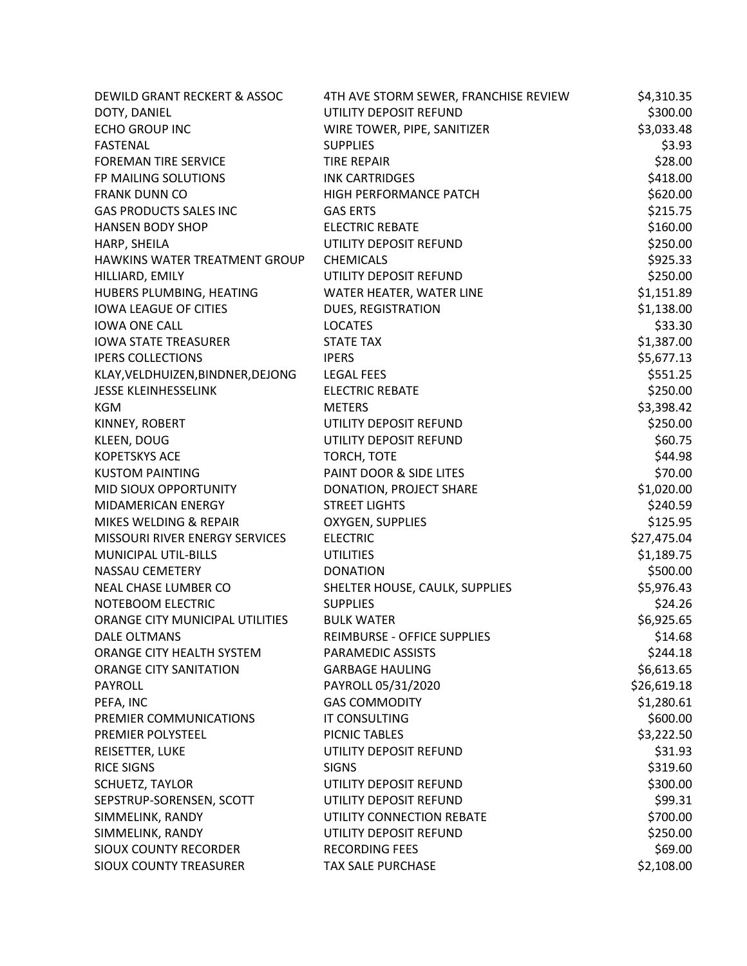| DEWILD GRANT RECKERT & ASSOC      | 4TH AVE STORM SEWER, FRANCHISE REVIEW | \$4,310.35  |
|-----------------------------------|---------------------------------------|-------------|
| DOTY, DANIEL                      | UTILITY DEPOSIT REFUND                | \$300.00    |
| <b>ECHO GROUP INC</b>             | WIRE TOWER, PIPE, SANITIZER           | \$3,033.48  |
| <b>FASTENAL</b>                   | <b>SUPPLIES</b>                       | \$3.93      |
| <b>FOREMAN TIRE SERVICE</b>       | <b>TIRE REPAIR</b>                    | \$28.00     |
| FP MAILING SOLUTIONS              | <b>INK CARTRIDGES</b>                 | \$418.00    |
| <b>FRANK DUNN CO</b>              | HIGH PERFORMANCE PATCH                | \$620.00    |
| <b>GAS PRODUCTS SALES INC</b>     | <b>GAS ERTS</b>                       | \$215.75    |
| <b>HANSEN BODY SHOP</b>           | <b>ELECTRIC REBATE</b>                | \$160.00    |
| HARP, SHEILA                      | UTILITY DEPOSIT REFUND                | \$250.00    |
| HAWKINS WATER TREATMENT GROUP     | <b>CHEMICALS</b>                      | \$925.33    |
| HILLIARD, EMILY                   | UTILITY DEPOSIT REFUND                | \$250.00    |
| HUBERS PLUMBING, HEATING          | WATER HEATER, WATER LINE              | \$1,151.89  |
| <b>IOWA LEAGUE OF CITIES</b>      | DUES, REGISTRATION                    | \$1,138.00  |
| <b>IOWA ONE CALL</b>              | <b>LOCATES</b>                        | \$33.30     |
| <b>IOWA STATE TREASURER</b>       | <b>STATE TAX</b>                      | \$1,387.00  |
| <b>IPERS COLLECTIONS</b>          | <b>IPERS</b>                          | \$5,677.13  |
| KLAY, VELDHUIZEN, BINDNER, DEJONG | <b>LEGAL FEES</b>                     | \$551.25    |
| JESSE KLEINHESSELINK              | <b>ELECTRIC REBATE</b>                | \$250.00    |
| <b>KGM</b>                        | <b>METERS</b>                         | \$3,398.42  |
| KINNEY, ROBERT                    | UTILITY DEPOSIT REFUND                | \$250.00    |
| KLEEN, DOUG                       | UTILITY DEPOSIT REFUND                | \$60.75     |
| <b>KOPETSKYS ACE</b>              | TORCH, TOTE                           | \$44.98     |
| <b>KUSTOM PAINTING</b>            | PAINT DOOR & SIDE LITES               | \$70.00     |
| MID SIOUX OPPORTUNITY             | DONATION, PROJECT SHARE               | \$1,020.00  |
| MIDAMERICAN ENERGY                | <b>STREET LIGHTS</b>                  | \$240.59    |
| MIKES WELDING & REPAIR            | OXYGEN, SUPPLIES                      | \$125.95    |
| MISSOURI RIVER ENERGY SERVICES    | <b>ELECTRIC</b>                       | \$27,475.04 |
| MUNICIPAL UTIL-BILLS              | <b>UTILITIES</b>                      | \$1,189.75  |
| <b>NASSAU CEMETERY</b>            | <b>DONATION</b>                       | \$500.00    |
| NEAL CHASE LUMBER CO              | SHELTER HOUSE, CAULK, SUPPLIES        | \$5,976.43  |
| NOTEBOOM ELECTRIC                 | <b>SUPPLIES</b>                       | \$24.26     |
| ORANGE CITY MUNICIPAL UTILITIES   | <b>BULK WATER</b>                     | \$6,925.65  |
| DALE OLTMANS                      | REIMBURSE - OFFICE SUPPLIES           | \$14.68     |
| ORANGE CITY HEALTH SYSTEM         | PARAMEDIC ASSISTS                     | \$244.18    |
| <b>ORANGE CITY SANITATION</b>     | <b>GARBAGE HAULING</b>                | \$6,613.65  |
| <b>PAYROLL</b>                    | PAYROLL 05/31/2020                    | \$26,619.18 |
| PEFA, INC                         | <b>GAS COMMODITY</b>                  | \$1,280.61  |
| PREMIER COMMUNICATIONS            | <b>IT CONSULTING</b>                  | \$600.00    |
| PREMIER POLYSTEEL                 | PICNIC TABLES                         | \$3,222.50  |
| REISETTER, LUKE                   | UTILITY DEPOSIT REFUND                | \$31.93     |
| <b>RICE SIGNS</b>                 | <b>SIGNS</b>                          | \$319.60    |
| SCHUETZ, TAYLOR                   | UTILITY DEPOSIT REFUND                | \$300.00    |
| SEPSTRUP-SORENSEN, SCOTT          | UTILITY DEPOSIT REFUND                | \$99.31     |
| SIMMELINK, RANDY                  | UTILITY CONNECTION REBATE             | \$700.00    |
| SIMMELINK, RANDY                  | UTILITY DEPOSIT REFUND                | \$250.00    |
| SIOUX COUNTY RECORDER             | <b>RECORDING FEES</b>                 | \$69.00     |
| SIOUX COUNTY TREASURER            | <b>TAX SALE PURCHASE</b>              | \$2,108.00  |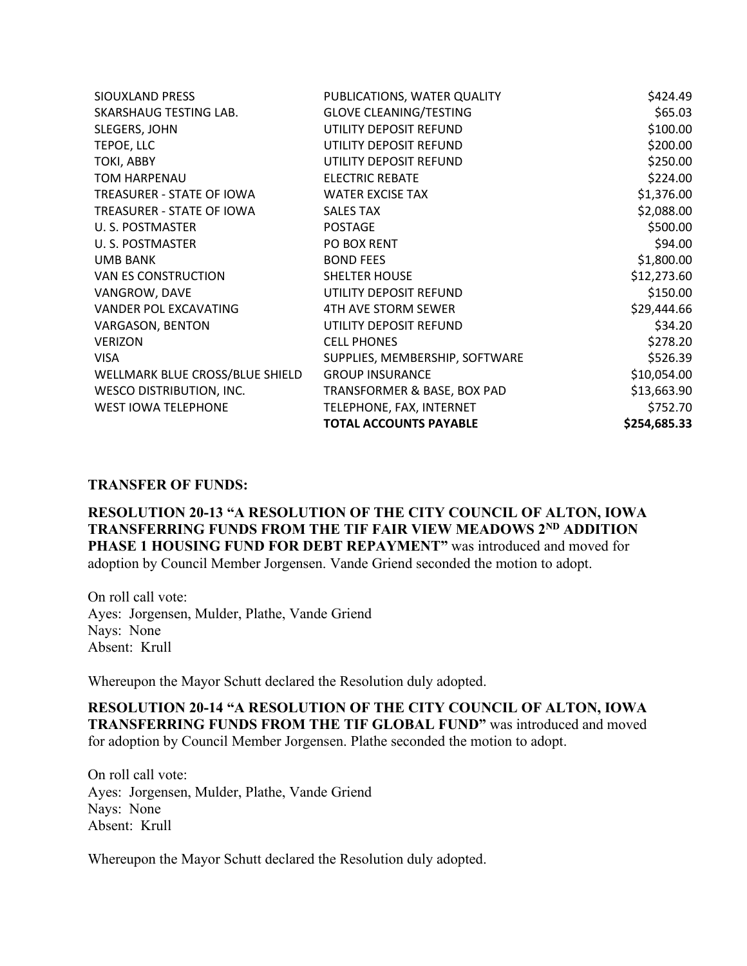| SIOUXLAND PRESS                 | PUBLICATIONS, WATER QUALITY    | \$424.49     |
|---------------------------------|--------------------------------|--------------|
| SKARSHAUG TESTING LAB.          | <b>GLOVE CLEANING/TESTING</b>  | \$65.03      |
| SLEGERS, JOHN                   | UTILITY DEPOSIT REFUND         | \$100.00     |
| TEPOE, LLC                      | UTILITY DEPOSIT REFUND         | \$200.00     |
| TOKI, ABBY                      | UTILITY DEPOSIT REFUND         | \$250.00     |
| TOM HARPENAU                    | <b>ELECTRIC REBATE</b>         | \$224.00     |
| TREASURER - STATE OF IOWA       | <b>WATER EXCISE TAX</b>        | \$1,376.00   |
| TREASURER - STATE OF IOWA       | <b>SALES TAX</b>               | \$2,088.00   |
| U.S. POSTMASTER                 | <b>POSTAGE</b>                 | \$500.00     |
| U. S. POSTMASTER                | PO BOX RENT                    | \$94.00      |
| <b>UMB BANK</b>                 | <b>BOND FEES</b>               | \$1,800.00   |
| VAN ES CONSTRUCTION             | <b>SHELTER HOUSE</b>           | \$12,273.60  |
| VANGROW, DAVE                   | UTILITY DEPOSIT REFUND         | \$150.00     |
| VANDER POL EXCAVATING           | 4TH AVE STORM SEWER            | \$29,444.66  |
| VARGASON, BENTON                | UTILITY DEPOSIT REFUND         | \$34.20      |
| <b>VERIZON</b>                  | <b>CELL PHONES</b>             | \$278.20     |
| <b>VISA</b>                     | SUPPLIES, MEMBERSHIP, SOFTWARE | \$526.39     |
| WELLMARK BLUE CROSS/BLUE SHIELD | <b>GROUP INSURANCE</b>         | \$10,054.00  |
| <b>WESCO DISTRIBUTION, INC.</b> | TRANSFORMER & BASE, BOX PAD    | \$13,663.90  |
| <b>WEST IOWA TELEPHONE</b>      | TELEPHONE, FAX, INTERNET       | \$752.70     |
|                                 | <b>TOTAL ACCOUNTS PAYABLE</b>  | \$254,685.33 |

## **TRANSFER OF FUNDS:**

**RESOLUTION 20-13 "A RESOLUTION OF THE CITY COUNCIL OF ALTON, IOWA TRANSFERRING FUNDS FROM THE TIF FAIR VIEW MEADOWS 2ND ADDITION PHASE 1 HOUSING FUND FOR DEBT REPAYMENT"** was introduced and moved for adoption by Council Member Jorgensen. Vande Griend seconded the motion to adopt.

On roll call vote: Ayes: Jorgensen, Mulder, Plathe, Vande Griend Nays: None Absent: Krull

Whereupon the Mayor Schutt declared the Resolution duly adopted.

**RESOLUTION 20-14 "A RESOLUTION OF THE CITY COUNCIL OF ALTON, IOWA TRANSFERRING FUNDS FROM THE TIF GLOBAL FUND"** was introduced and moved for adoption by Council Member Jorgensen. Plathe seconded the motion to adopt.

On roll call vote: Ayes: Jorgensen, Mulder, Plathe, Vande Griend Nays: None Absent: Krull

Whereupon the Mayor Schutt declared the Resolution duly adopted.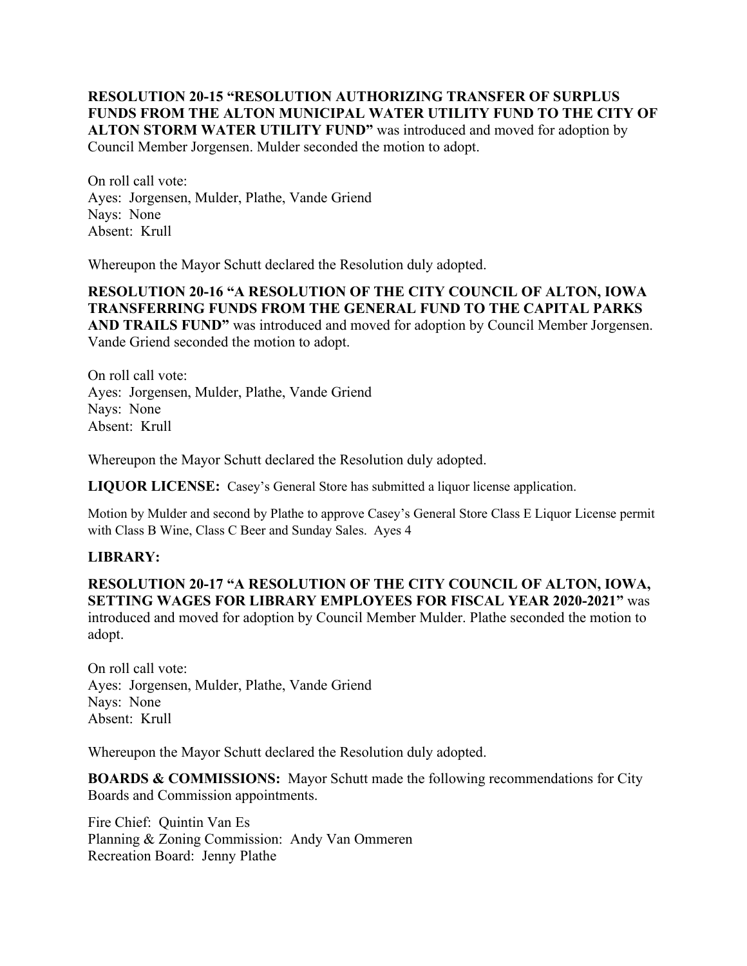**RESOLUTION 20-15 "RESOLUTION AUTHORIZING TRANSFER OF SURPLUS FUNDS FROM THE ALTON MUNICIPAL WATER UTILITY FUND TO THE CITY OF ALTON STORM WATER UTILITY FUND"** was introduced and moved for adoption by Council Member Jorgensen. Mulder seconded the motion to adopt.

On roll call vote: Ayes: Jorgensen, Mulder, Plathe, Vande Griend Nays: None Absent: Krull

Whereupon the Mayor Schutt declared the Resolution duly adopted.

**RESOLUTION 20-16 "A RESOLUTION OF THE CITY COUNCIL OF ALTON, IOWA TRANSFERRING FUNDS FROM THE GENERAL FUND TO THE CAPITAL PARKS AND TRAILS FUND"** was introduced and moved for adoption by Council Member Jorgensen. Vande Griend seconded the motion to adopt.

On roll call vote: Ayes: Jorgensen, Mulder, Plathe, Vande Griend Nays: None Absent: Krull

Whereupon the Mayor Schutt declared the Resolution duly adopted.

**LIQUOR LICENSE:** Casey's General Store has submitted a liquor license application.

Motion by Mulder and second by Plathe to approve Casey's General Store Class E Liquor License permit with Class B Wine, Class C Beer and Sunday Sales. Ayes 4

## **LIBRARY:**

**RESOLUTION 20-17 "A RESOLUTION OF THE CITY COUNCIL OF ALTON, IOWA, SETTING WAGES FOR LIBRARY EMPLOYEES FOR FISCAL YEAR 2020-2021"** was introduced and moved for adoption by Council Member Mulder. Plathe seconded the motion to adopt.

On roll call vote: Ayes: Jorgensen, Mulder, Plathe, Vande Griend Nays: None Absent: Krull

Whereupon the Mayor Schutt declared the Resolution duly adopted.

**BOARDS & COMMISSIONS:** Mayor Schutt made the following recommendations for City Boards and Commission appointments.

Fire Chief: Quintin Van Es Planning & Zoning Commission: Andy Van Ommeren Recreation Board: Jenny Plathe